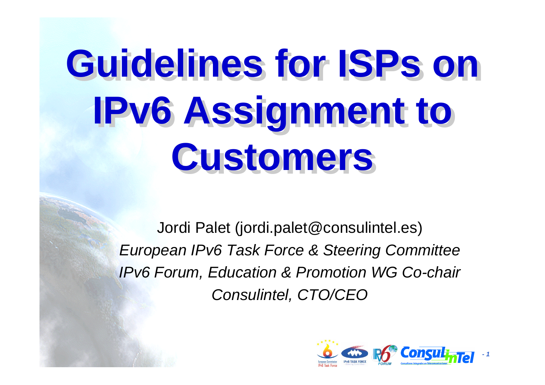# **Guidelines for ISPs on Guidelines for ISPs on IPv6 Assignment to IPv6 Assignment to Customers Customers**

Jordi Palet (jordi.palet@consulintel.es) *European IPv6 Task Force & Steering Committee IPv6 Forum, Education & Promotion WG Co-chair Consulintel, CTO/CEO*

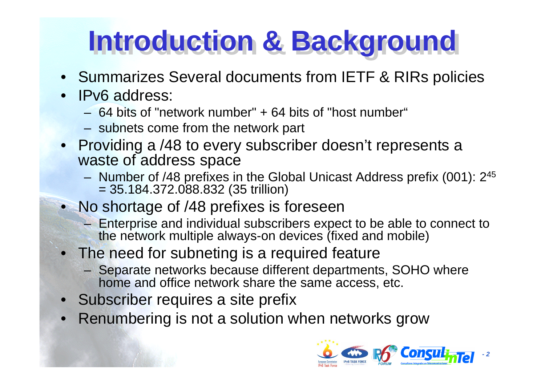### **Introduction & Background Introduction & Background**

- Summarizes Several documents from IETF & RIRs policies
- $\bullet$  IPv6 address:
	- 64 bits of "network number" + 64 bits of "host number"
	- subnets come from the network part
- Providing a /48 to every subscriber doesn't represents a waste of address space
	- Number of /48 prefixes in the Global Unicast Address prefix (001): 245 = 35.184.372.088.832 (35 trillion)
- No shortage of /48 prefixes is foreseen
	- Enterprise and individual subscribers expect to be able to connect to the network multiple always-on devices (fixed and mobile)
- The need for subneting is a required feature
	- Separate networks because different departments, SOHO where home and office network share the same access, etc.
- Subscriber requires a site prefix
- •Renumbering is not a solution when networks grow

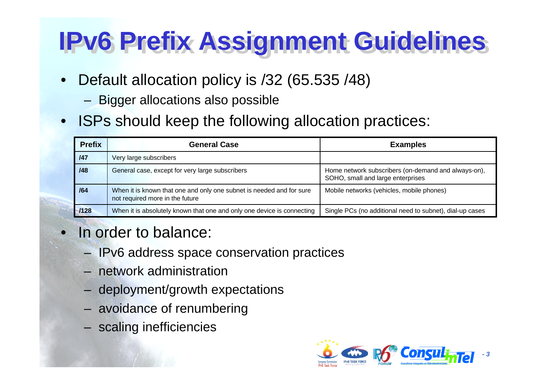#### **IPv6 Prefix Assignment Guidelines IPv6 Prefix Assignment Guidelines**

- •Default allocation policy is /32 (65.535 /48)
	- Bigger allocations also possible
- •ISPs should keep the following allocation practices:

| <b>Prefix</b> | <b>General Case</b>                                                                                     | <b>Examples</b>                                                                          |
|---------------|---------------------------------------------------------------------------------------------------------|------------------------------------------------------------------------------------------|
| 147           | Very large subscribers                                                                                  |                                                                                          |
| /48           | General case, except for very large subscribers                                                         | Home network subscribers (on-demand and always-on),<br>SOHO, small and large enterprises |
| /64           | When it is known that one and only one subnet is needed and for sure<br>not required more in the future | Mobile networks (vehicles, mobile phones)                                                |
| /128          | When it is absolutely known that one and only one device is connecting                                  | Single PCs (no additional need to subnet), dial-up cases                                 |

#### •In order to balance:

- IPv6 address space conservation practices
- network administration
- deployment/growth expectations
- avoidance of renumbering
- scaling inefficiencies

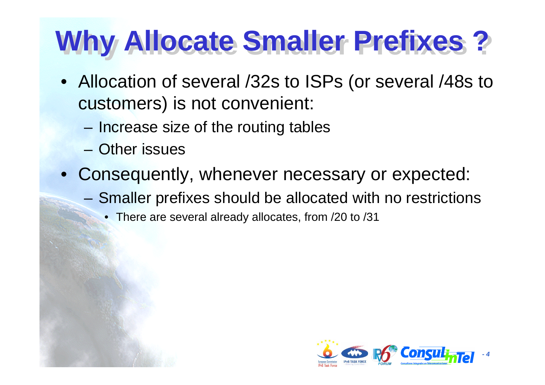## **Why Allocate Smaller Prefixes ? Why Allocate Smaller Prefixes ?**

- Allocation of several /32s to ISPs (or several /48s to customers) is not convenient:
	- **Hart Committee Committee** - Increase size of the routing tables
	- Other issues
- Consequently, whenever necessary or expected:
	- Smaller prefixes should be allocated with no restrictions
		- There are several already allocates, from /20 to /31

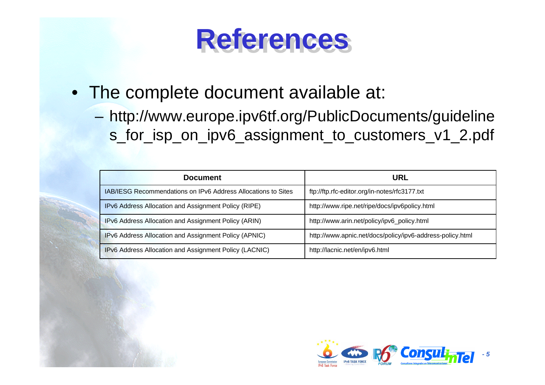#### **References References**

- The complete document available at:
	- http://www.europe.ipv6tf.org/PublicDocuments/guideline s\_for\_isp\_on\_ipv6\_assignment\_to\_customers\_v1\_2.pdf

| <b>Document</b>                                               | URL                                                       |
|---------------------------------------------------------------|-----------------------------------------------------------|
| IAB/IESG Recommendations on IPv6 Address Allocations to Sites | ftp://ftp.rfc-editor.org/in-notes/rfc3177.txt             |
| IPv6 Address Allocation and Assignment Policy (RIPE)          | http://www.ripe.net/ripe/docs/ipv6policy.html             |
| IPv6 Address Allocation and Assignment Policy (ARIN)          | http://www.arin.net/policy/ipv6_policy.html               |
| IPv6 Address Allocation and Assignment Policy (APNIC)         | http://www.apnic.net/docs/policy/ipv6-address-policy.html |
| IPv6 Address Allocation and Assignment Policy (LACNIC)        | http://lacnic.net/en/ipv6.html                            |